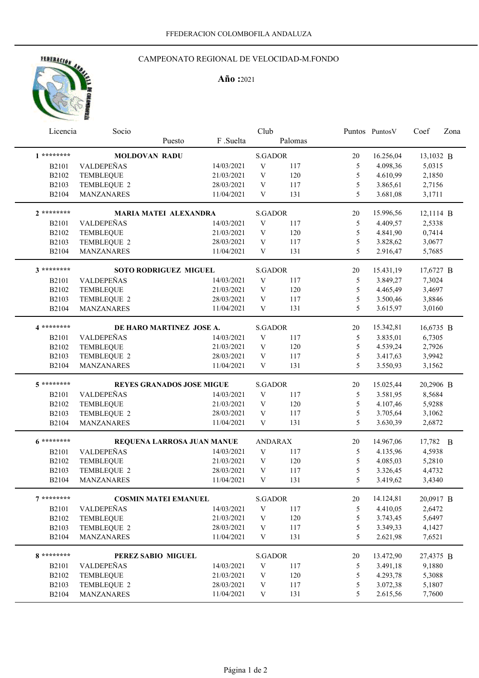# HOTRACIÓN AN

# CAMPEONATO REGIONAL DE VELOCIDAD-M.FONDO

# **Año :**2021

| Licencia              | Socio                 |                                  | Club       |                           |         |    | Puntos Puntos V | Coef      | Zona |
|-----------------------|-----------------------|----------------------------------|------------|---------------------------|---------|----|-----------------|-----------|------|
|                       |                       | Puesto                           | F.Suelta   |                           | Palomas |    |                 |           |      |
| $1********$           |                       | <b>MOLDOVAN RADU</b>             |            | <b>S.GADOR</b>            |         | 20 | 16.256,04       | 13,1032 B |      |
| <b>B2101</b>          | VALDEPEÑAS            |                                  | 14/03/2021 | $\mathbf V$               | 117     | 5  | 4.098,36        | 5,0315    |      |
| B2102                 | <b>TEMBLEQUE</b>      |                                  | 21/03/2021 | V                         | 120     | 5  | 4.610,99        | 2,1850    |      |
| B2103                 | TEMBLEQUE 2           |                                  | 28/03/2021 | V                         | 117     | 5  | 3.865,61        | 2,7156    |      |
| B2104                 | MANZANARES            |                                  | 11/04/2021 | V                         | 131     | 5  | 3.681,08        | 3,1711    |      |
| $2$ ********          |                       | <b>MARIA MATEI ALEXANDRA</b>     |            | <b>S.GADOR</b>            |         | 20 | 15.996,56       | 12,1114 B |      |
| <b>B2101</b>          | VALDEPEÑAS            |                                  | 14/03/2021 | V                         | 117     | 5  | 4.409,57        | 2,5338    |      |
| B2102                 | <b>TEMBLEQUE</b>      |                                  | 21/03/2021 | V                         | 120     | 5  | 4.841,90        | 0,7414    |      |
| B2103                 | TEMBLEQUE 2           |                                  | 28/03/2021 | V                         | 117     | 5  | 3.828,62        | 3,0677    |      |
| <b>B2104</b>          | MANZANARES            |                                  | 11/04/2021 | V                         | 131     | 5  | 2.916,47        | 5,7685    |      |
| 3 ********            | SOTO RODRIGUEZ MIGUEL |                                  |            | <b>S.GADOR</b>            |         | 20 | 15.431,19       | 17,6727 B |      |
| <b>B2101</b>          | VALDEPEÑAS            |                                  | 14/03/2021 | V                         | 117     | 5  | 3.849,27        | 7,3024    |      |
| B2102                 | <b>TEMBLEQUE</b>      |                                  | 21/03/2021 | V                         | 120     | 5  | 4.465,49        | 3,4697    |      |
| B2103                 | TEMBLEQUE 2           |                                  | 28/03/2021 | V                         | 117     | 5  | 3.500,46        | 3,8846    |      |
| B2104                 | <b>MANZANARES</b>     |                                  | 11/04/2021 | $\ensuremath{\mathbf{V}}$ | 131     | 5  | 3.615,97        | 3,0160    |      |
| 4 *********           |                       | DE HARO MARTINEZ JOSE A.         |            | <b>S.GADOR</b>            |         | 20 | 15.342,81       | 16,6735 B |      |
| <b>B2101</b>          | VALDEPEÑAS            |                                  | 14/03/2021 | $\ensuremath{\text{V}}$   | 117     | 5  | 3.835,01        | 6,7305    |      |
| B2102                 | <b>TEMBLEQUE</b>      |                                  | 21/03/2021 | $\ensuremath{\text{V}}$   | 120     | 5  | 4.539,24        | 2,7926    |      |
| B2103                 | TEMBLEQUE 2           |                                  | 28/03/2021 | V                         | 117     | 5  | 3.417,63        | 3,9942    |      |
| B2104                 | MANZANARES            |                                  | 11/04/2021 | V                         | 131     | 5  | 3.550,93        | 3,1562    |      |
| 5 ********            |                       | <b>REYES GRANADOS JOSE MIGUE</b> |            | <b>S.GADOR</b>            |         | 20 | 15.025,44       | 20,2906 B |      |
| <b>B2101</b>          | VALDEPEÑAS            |                                  | 14/03/2021 | V                         | 117     | 5  | 3.581,95        | 8,5684    |      |
| B2102                 | <b>TEMBLEQUE</b>      |                                  | 21/03/2021 | $\ensuremath{\text{V}}$   | 120     | 5  | 4.107,46        | 5,9288    |      |
| B2103                 | TEMBLEQUE 2           |                                  | 28/03/2021 | V                         | 117     | 5  | 3.705,64        | 3,1062    |      |
| <b>B2104</b>          | MANZANARES            |                                  | 11/04/2021 | $\ensuremath{\text{V}}$   | 131     | 5  | 3.630,39        | 2,6872    |      |
| $6*******$            |                       | REQUENA LARROSA JUAN MANUE       |            | <b>ANDARAX</b>            |         | 20 | 14.967,06       | 17,782 B  |      |
| <b>B2101</b>          | VALDEPEÑAS            |                                  | 14/03/2021 | V                         | 117     | 5  | 4.135,96        | 4,5938    |      |
| B2102                 | TEMBLEQUE             |                                  | 21/03/2021 | V                         | 120     | 5  | 4.085,03        | 5,2810    |      |
| B2103                 | TEMBLEQUE 2           |                                  | 28/03/2021 | V                         | 117     | 5  | 3.326,45        | 4,4732    |      |
| B2104                 | MANZANARES            |                                  | 11/04/2021 | V                         | 131     | 5  | 3.419,62        | 3,4340    |      |
| 7 ********            |                       | <b>COSMIN MATEI EMANUEL</b>      |            | <b>S.GADOR</b>            |         | 20 | 14.124,81       | 20,0917 B |      |
| <b>B2101</b>          | VALDEPEÑAS            |                                  | 14/03/2021 | V                         | 117     | 5  | 4.410,05        | 2,6472    |      |
| B2102                 | <b>TEMBLEQUE</b>      |                                  | 21/03/2021 | $\mathbf V$               | 120     | 5  | 3.743,45        | 5,6497    |      |
| B2103                 | TEMBLEQUE 2           |                                  | 28/03/2021 | V                         | 117     | 5  | 3.349,33        | 4,1427    |      |
| B2104                 | <b>MANZANARES</b>     |                                  | 11/04/2021 | V                         | 131     | 5  | 2.621,98        | 7,6521    |      |
| 8 *********           |                       | PEREZ SABIO MIGUEL               |            | <b>S.GADOR</b>            |         | 20 | 13.472,90       | 27,4375 B |      |
|                       | VALDEPEÑAS            |                                  | 14/03/2021 | V                         | 117     | 5  | 3.491,18        | 9,1880    |      |
| <b>B2101</b><br>B2102 | <b>TEMBLEQUE</b>      |                                  | 21/03/2021 | V                         | 120     | 5  | 4.293,78        | 5,3088    |      |
| B2103                 | TEMBLEQUE 2           |                                  | 28/03/2021 | $\mathbf V$               | 117     | 5  | 3.072,38        | 5,1807    |      |
| B2104                 | MANZANARES            |                                  | 11/04/2021 | V                         | 131     | 5  | 2.615,56        | 7,7600    |      |
|                       |                       |                                  |            |                           |         |    |                 |           |      |